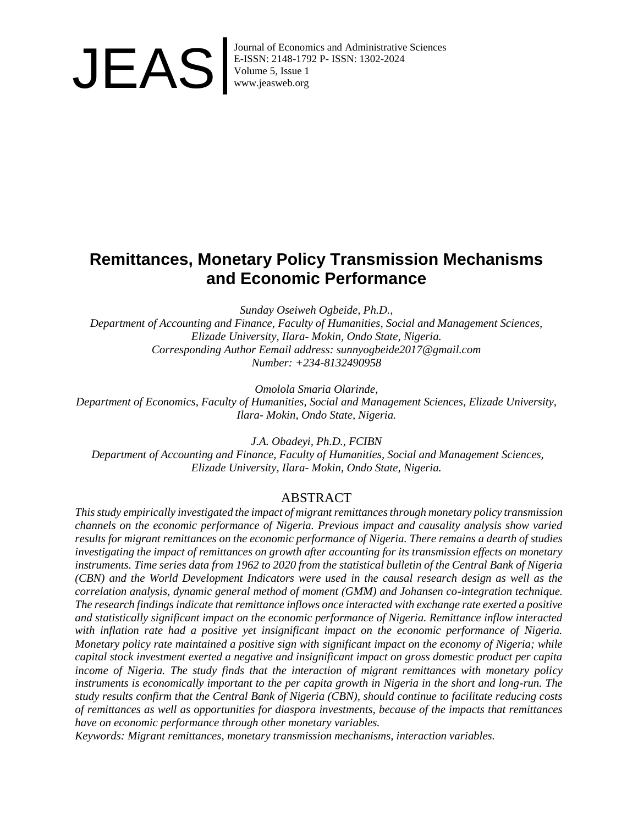

Journal of Economics and Administrative Sciences<br>E-ISSN: 2148-1792 P- ISSN: 1302-2024<br>Volume 5, Issue 1<br>www.jeasweb.org E-ISSN: 2148-1792 P- ISSN: 1302-2024 Volume 5, Issue 1 www.jeasweb.org

# **Remittances, Monetary Policy Transmission Mechanisms and Economic Performance**

*Sunday Oseiweh Ogbeide, Ph.D.,*

*Department of Accounting and Finance, Faculty of Humanities, Social and Management Sciences, Elizade University, Ilara- Mokin, Ondo State, Nigeria. Corresponding Author Eemail address: sunnyogbeide2017@gmail.com Number: +234-8132490958* 

*Omolola Smaria Olarinde,* 

*Department of Economics, Faculty of Humanities, Social and Management Sciences, Elizade University, Ilara- Mokin, Ondo State, Nigeria.*

*J.A. Obadeyi, Ph.D., FCIBN Department of Accounting and Finance, Faculty of Humanities, Social and Management Sciences, Elizade University, Ilara- Mokin, Ondo State, Nigeria.*

### ABSTRACT

*This study empirically investigated the impact of migrant remittances through monetary policy transmission channels on the economic performance of Nigeria. Previous impact and causality analysis show varied results for migrant remittances on the economic performance of Nigeria. There remains a dearth of studies investigating the impact of remittances on growth after accounting for its transmission effects on monetary instruments. Time series data from 1962 to 2020 from the statistical bulletin of the Central Bank of Nigeria (CBN) and the World Development Indicators were used in the causal research design as well as the correlation analysis, dynamic general method of moment (GMM) and Johansen co-integration technique. The research findings indicate that remittance inflows once interacted with exchange rate exerted a positive and statistically significant impact on the economic performance of Nigeria. Remittance inflow interacted with inflation rate had a positive yet insignificant impact on the economic performance of Nigeria. Monetary policy rate maintained a positive sign with significant impact on the economy of Nigeria; while capital stock investment exerted a negative and insignificant impact on gross domestic product per capita income of Nigeria. The study finds that the interaction of migrant remittances with monetary policy instruments is economically important to the per capita growth in Nigeria in the short and long-run. The study results confirm that the Central Bank of Nigeria (CBN), should continue to facilitate reducing costs of remittances as well as opportunities for diaspora investments, because of the impacts that remittances have on economic performance through other monetary variables.* 

*Keywords: Migrant remittances, monetary transmission mechanisms, interaction variables.*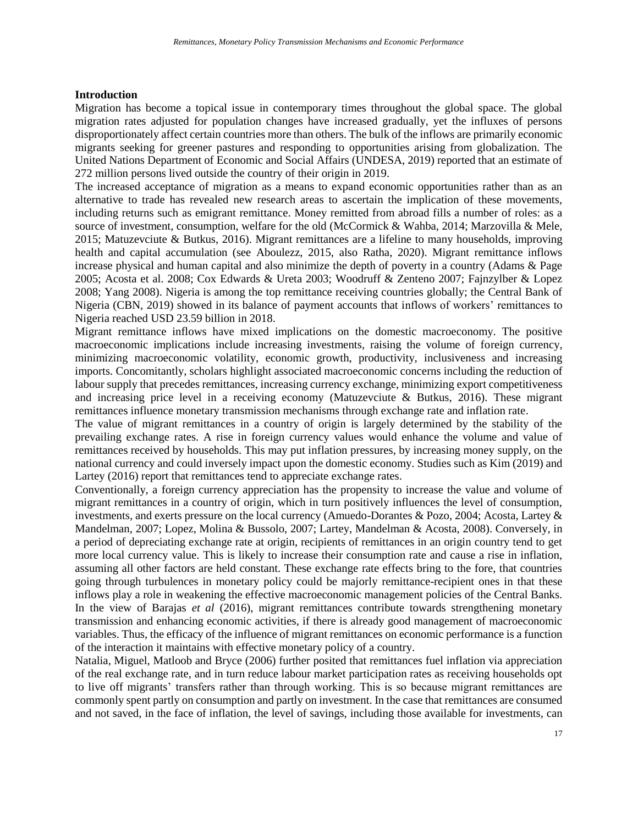### **Introduction**

Migration has become a topical issue in contemporary times throughout the global space. The global migration rates adjusted for population changes have increased gradually, yet the influxes of persons disproportionately affect certain countries more than others. The bulk of the inflows are primarily economic migrants seeking for greener pastures and responding to opportunities arising from globalization. The United Nations Department of Economic and Social Affairs (UNDESA, 2019) reported that an estimate of 272 million persons lived outside the country of their origin in 2019.

The increased acceptance of migration as a means to expand economic opportunities rather than as an alternative to trade has revealed new research areas to ascertain the implication of these movements, including returns such as emigrant remittance. Money remitted from abroad fills a number of roles: as a source of investment, consumption, welfare for the old (McCormick & Wahba, 2014; Marzovilla & Mele, 2015; Matuzevciute & Butkus, 2016). Migrant remittances are a lifeline to many households, improving health and capital accumulation (see Aboulezz, 2015, also Ratha, 2020). Migrant remittance inflows increase physical and human capital and also minimize the depth of poverty in a country (Adams & Page 2005; Acosta et al. 2008; Cox Edwards & Ureta 2003; Woodruff & Zenteno 2007; Fajnzylber & Lopez 2008; Yang 2008). Nigeria is among the top remittance receiving countries globally; the Central Bank of Nigeria (CBN, 2019) showed in its balance of payment accounts that inflows of workers' remittances to Nigeria reached USD 23.59 billion in 2018.

Migrant remittance inflows have mixed implications on the domestic macroeconomy. The positive macroeconomic implications include increasing investments, raising the volume of foreign currency, minimizing macroeconomic volatility, economic growth, productivity, inclusiveness and increasing imports. Concomitantly, scholars highlight associated macroeconomic concerns including the reduction of labour supply that precedes remittances, increasing currency exchange, minimizing export competitiveness and increasing price level in a receiving economy (Matuzevciute  $\&$  Butkus, 2016). These migrant remittances influence monetary transmission mechanisms through exchange rate and inflation rate.

The value of migrant remittances in a country of origin is largely determined by the stability of the prevailing exchange rates. A rise in foreign currency values would enhance the volume and value of remittances received by households. This may put inflation pressures, by increasing money supply, on the national currency and could inversely impact upon the domestic economy. Studies such as Kim (2019) and Lartey (2016) report that remittances tend to appreciate exchange rates.

Conventionally, a foreign currency appreciation has the propensity to increase the value and volume of migrant remittances in a country of origin, which in turn positively influences the level of consumption, investments, and exerts pressure on the local currency (Amuedo-Dorantes & Pozo, 2004; Acosta, Lartey & Mandelman, 2007; Lopez, Molina & Bussolo, 2007; Lartey, Mandelman & Acosta, 2008). Conversely, in a period of depreciating exchange rate at origin, recipients of remittances in an origin country tend to get more local currency value. This is likely to increase their consumption rate and cause a rise in inflation, assuming all other factors are held constant. These exchange rate effects bring to the fore, that countries going through turbulences in monetary policy could be majorly remittance-recipient ones in that these inflows play a role in weakening the effective macroeconomic management policies of the Central Banks. In the view of Barajas *et al* (2016), migrant remittances contribute towards strengthening monetary transmission and enhancing economic activities, if there is already good management of macroeconomic variables. Thus, the efficacy of the influence of migrant remittances on economic performance is a function of the interaction it maintains with effective monetary policy of a country.

Natalia, Miguel, Matloob and Bryce (2006) further posited that remittances fuel inflation via appreciation of the real exchange rate, and in turn reduce labour market participation rates as receiving households opt to live off migrants' transfers rather than through working. This is so because migrant remittances are commonly spent partly on consumption and partly on investment. In the case that remittances are consumed and not saved, in the face of inflation, the level of savings, including those available for investments, can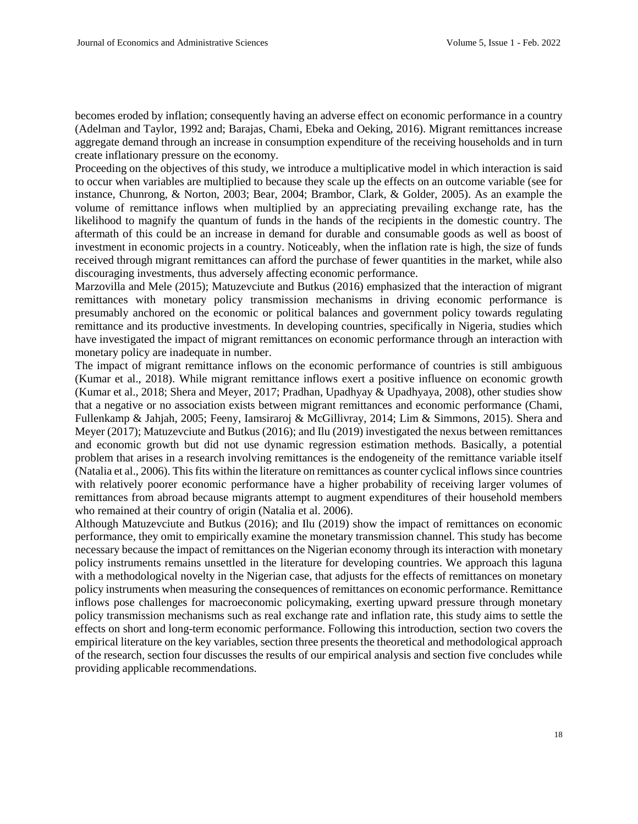becomes eroded by inflation; consequently having an adverse effect on economic performance in a country (Adelman and Taylor, 1992 and; Barajas, Chami, Ebeka and Oeking, 2016). Migrant remittances increase aggregate demand through an increase in consumption expenditure of the receiving households and in turn create inflationary pressure on the economy.

Proceeding on the objectives of this study, we introduce a multiplicative model in which interaction is said to occur when variables are multiplied to because they scale up the effects on an outcome variable (see for instance, Chunrong, & Norton, 2003; Bear, 2004; Brambor, Clark, & Golder, 2005). As an example the volume of remittance inflows when multiplied by an appreciating prevailing exchange rate, has the likelihood to magnify the quantum of funds in the hands of the recipients in the domestic country. The aftermath of this could be an increase in demand for durable and consumable goods as well as boost of investment in economic projects in a country. Noticeably, when the inflation rate is high, the size of funds received through migrant remittances can afford the purchase of fewer quantities in the market, while also discouraging investments, thus adversely affecting economic performance.

Marzovilla and Mele (2015); Matuzevciute and Butkus (2016) emphasized that the interaction of migrant remittances with monetary policy transmission mechanisms in driving economic performance is presumably anchored on the economic or political balances and government policy towards regulating remittance and its productive investments. In developing countries, specifically in Nigeria, studies which have investigated the impact of migrant remittances on economic performance through an interaction with monetary policy are inadequate in number.

The impact of migrant remittance inflows on the economic performance of countries is still ambiguous (Kumar et al., 2018). While migrant remittance inflows exert a positive influence on economic growth (Kumar et al., 2018; Shera and Meyer, 2017; Pradhan, Upadhyay & Upadhyaya, 2008), other studies show that a negative or no association exists between migrant remittances and economic performance (Chami, Fullenkamp & Jahjah, 2005; Feeny, Iamsiraroj & McGillivray, 2014; Lim & Simmons, 2015). Shera and Meyer (2017); Matuzevciute and Butkus (2016); and Ilu (2019) investigated the nexus between remittances and economic growth but did not use dynamic regression estimation methods. Basically, a potential problem that arises in a research involving remittances is the endogeneity of the remittance variable itself (Natalia et al., 2006). This fits within the literature on remittances as counter cyclical inflows since countries with relatively poorer economic performance have a higher probability of receiving larger volumes of remittances from abroad because migrants attempt to augment expenditures of their household members who remained at their country of origin (Natalia et al. 2006).

Although Matuzevciute and Butkus (2016); and Ilu (2019) show the impact of remittances on economic performance, they omit to empirically examine the monetary transmission channel. This study has become necessary because the impact of remittances on the Nigerian economy through its interaction with monetary policy instruments remains unsettled in the literature for developing countries. We approach this laguna with a methodological novelty in the Nigerian case, that adjusts for the effects of remittances on monetary policy instruments when measuring the consequences of remittances on economic performance. Remittance inflows pose challenges for macroeconomic policymaking, exerting upward pressure through monetary policy transmission mechanisms such as real exchange rate and inflation rate, this study aims to settle the effects on short and long-term economic performance. Following this introduction, section two covers the empirical literature on the key variables, section three presents the theoretical and methodological approach of the research, section four discusses the results of our empirical analysis and section five concludes while providing applicable recommendations.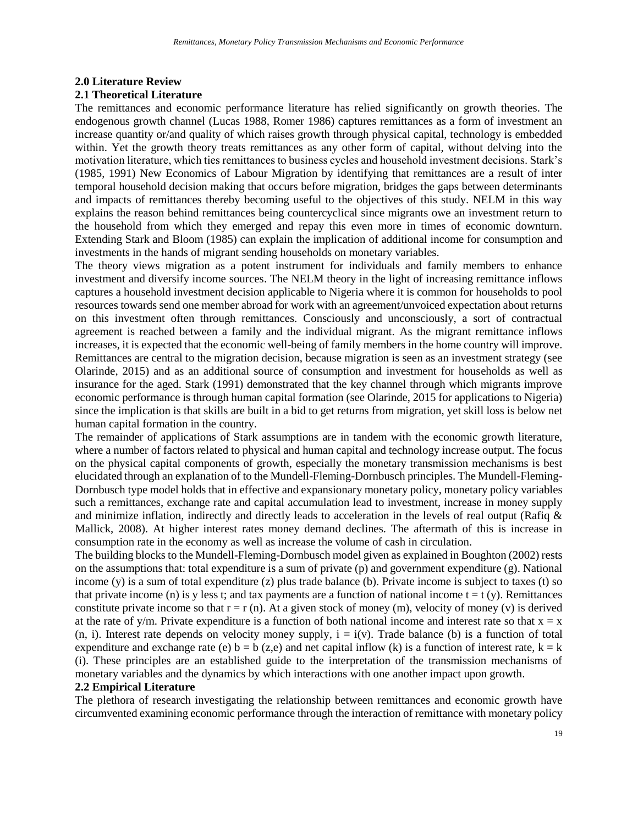### **2.0 Literature Review**

### **2.1 Theoretical Literature**

The remittances and economic performance literature has relied significantly on growth theories. The endogenous growth channel (Lucas 1988, Romer 1986) captures remittances as a form of investment an increase quantity or/and quality of which raises growth through physical capital, technology is embedded within. Yet the growth theory treats remittances as any other form of capital, without delving into the motivation literature, which ties remittances to business cycles and household investment decisions. Stark's (1985, 1991) New Economics of Labour Migration by identifying that remittances are a result of inter temporal household decision making that occurs before migration, bridges the gaps between determinants and impacts of remittances thereby becoming useful to the objectives of this study. NELM in this way explains the reason behind remittances being countercyclical since migrants owe an investment return to the household from which they emerged and repay this even more in times of economic downturn. Extending Stark and Bloom (1985) can explain the implication of additional income for consumption and investments in the hands of migrant sending households on monetary variables.

The theory views migration as a potent instrument for individuals and family members to enhance investment and diversify income sources. The NELM theory in the light of increasing remittance inflows captures a household investment decision applicable to Nigeria where it is common for households to pool resources towards send one member abroad for work with an agreement/unvoiced expectation about returns on this investment often through remittances. Consciously and unconsciously, a sort of contractual agreement is reached between a family and the individual migrant. As the migrant remittance inflows increases, it is expected that the economic well-being of family members in the home country will improve. Remittances are central to the migration decision, because migration is seen as an investment strategy (see Olarinde, 2015) and as an additional source of consumption and investment for households as well as insurance for the aged. Stark (1991) demonstrated that the key channel through which migrants improve economic performance is through human capital formation (see Olarinde, 2015 for applications to Nigeria) since the implication is that skills are built in a bid to get returns from migration, yet skill loss is below net human capital formation in the country.

The remainder of applications of Stark assumptions are in tandem with the economic growth literature, where a number of factors related to physical and human capital and technology increase output. The focus on the physical capital components of growth, especially the monetary transmission mechanisms is best elucidated through an explanation of to the Mundell-Fleming-Dornbusch principles. The Mundell-Fleming-Dornbusch type model holds that in effective and expansionary monetary policy, monetary policy variables such a remittances, exchange rate and capital accumulation lead to investment, increase in money supply and minimize inflation, indirectly and directly leads to acceleration in the levels of real output (Rafiq & Mallick, 2008). At higher interest rates money demand declines. The aftermath of this is increase in consumption rate in the economy as well as increase the volume of cash in circulation.

The building blocks to the Mundell-Fleming-Dornbusch model given as explained in Boughton (2002) rests on the assumptions that: total expenditure is a sum of private (p) and government expenditure (g). National income  $(y)$  is a sum of total expenditure (z) plus trade balance (b). Private income is subject to taxes (t) so that private income (n) is y less t; and tax payments are a function of national income  $t = t$  (y). Remittances constitute private income so that  $r = r(n)$ . At a given stock of money (m), velocity of money (v) is derived at the rate of y/m. Private expenditure is a function of both national income and interest rate so that  $x = x$  $(n, i)$ . Interest rate depends on velocity money supply,  $i = i(v)$ . Trade balance (b) is a function of total expenditure and exchange rate (e)  $b = b$  (z,e) and net capital inflow (k) is a function of interest rate,  $k = k$ (i). These principles are an established guide to the interpretation of the transmission mechanisms of monetary variables and the dynamics by which interactions with one another impact upon growth.

#### **2.2 Empirical Literature**

The plethora of research investigating the relationship between remittances and economic growth have circumvented examining economic performance through the interaction of remittance with monetary policy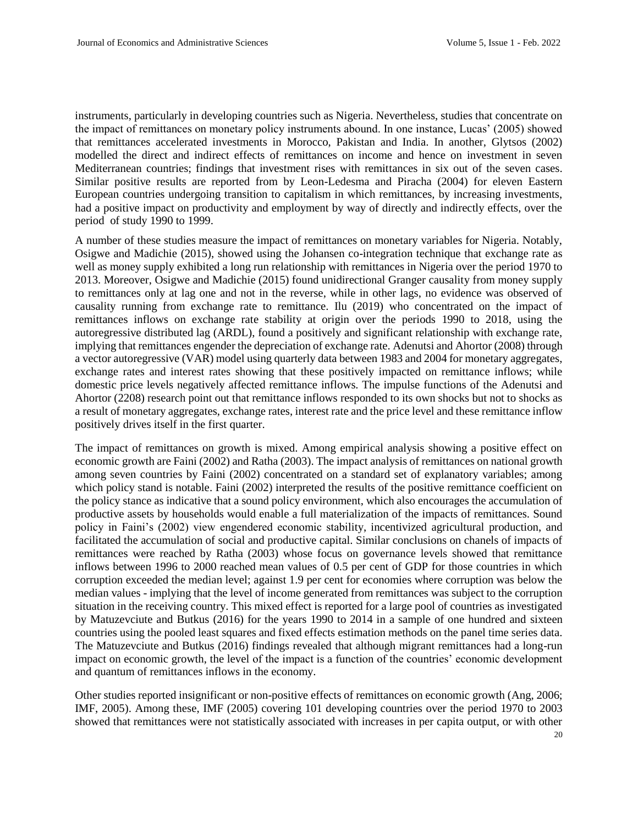instruments, particularly in developing countries such as Nigeria. Nevertheless, studies that concentrate on the impact of remittances on monetary policy instruments abound. In one instance, Lucas' (2005) showed that remittances accelerated investments in Morocco, Pakistan and India. In another, Glytsos (2002) modelled the direct and indirect effects of remittances on income and hence on investment in seven Mediterranean countries; findings that investment rises with remittances in six out of the seven cases. Similar positive results are reported from by Leon-Ledesma and Piracha (2004) for eleven Eastern European countries undergoing transition to capitalism in which remittances, by increasing investments, had a positive impact on productivity and employment by way of directly and indirectly effects, over the period of study 1990 to 1999.

A number of these studies measure the impact of remittances on monetary variables for Nigeria. Notably, Osigwe and Madichie (2015), showed using the Johansen co-integration technique that exchange rate as well as money supply exhibited a long run relationship with remittances in Nigeria over the period 1970 to 2013. Moreover, Osigwe and Madichie (2015) found unidirectional Granger causality from money supply to remittances only at lag one and not in the reverse, while in other lags, no evidence was observed of causality running from exchange rate to remittance. Ilu (2019) who concentrated on the impact of remittances inflows on exchange rate stability at origin over the periods 1990 to 2018, using the autoregressive distributed lag (ARDL), found a positively and significant relationship with exchange rate, implying that remittances engender the depreciation of exchange rate. Adenutsi and Ahortor (2008) through a vector autoregressive (VAR) model using quarterly data between 1983 and 2004 for monetary aggregates, exchange rates and interest rates showing that these positively impacted on remittance inflows; while domestic price levels negatively affected remittance inflows. The impulse functions of the Adenutsi and Ahortor (2208) research point out that remittance inflows responded to its own shocks but not to shocks as a result of monetary aggregates, exchange rates, interest rate and the price level and these remittance inflow positively drives itself in the first quarter.

The impact of remittances on growth is mixed. Among empirical analysis showing a positive effect on economic growth are Faini (2002) and Ratha (2003). The impact analysis of remittances on national growth among seven countries by Faini (2002) concentrated on a standard set of explanatory variables; among which policy stand is notable. Faini (2002) interpreted the results of the positive remittance coefficient on the policy stance as indicative that a sound policy environment, which also encourages the accumulation of productive assets by households would enable a full materialization of the impacts of remittances. Sound policy in Faini's (2002) view engendered economic stability, incentivized agricultural production, and facilitated the accumulation of social and productive capital. Similar conclusions on chanels of impacts of remittances were reached by Ratha (2003) whose focus on governance levels showed that remittance inflows between 1996 to 2000 reached mean values of 0.5 per cent of GDP for those countries in which corruption exceeded the median level; against 1.9 per cent for economies where corruption was below the median values - implying that the level of income generated from remittances was subject to the corruption situation in the receiving country. This mixed effect is reported for a large pool of countries as investigated by Matuzevciute and Butkus (2016) for the years 1990 to 2014 in a sample of one hundred and sixteen countries using the pooled least squares and fixed effects estimation methods on the panel time series data. The Matuzevciute and Butkus (2016) findings revealed that although migrant remittances had a long-run impact on economic growth, the level of the impact is a function of the countries' economic development and quantum of remittances inflows in the economy.

20 Other studies reported insignificant or non-positive effects of remittances on economic growth (Ang, 2006; IMF, 2005). Among these, IMF (2005) covering 101 developing countries over the period 1970 to 2003 showed that remittances were not statistically associated with increases in per capita output, or with other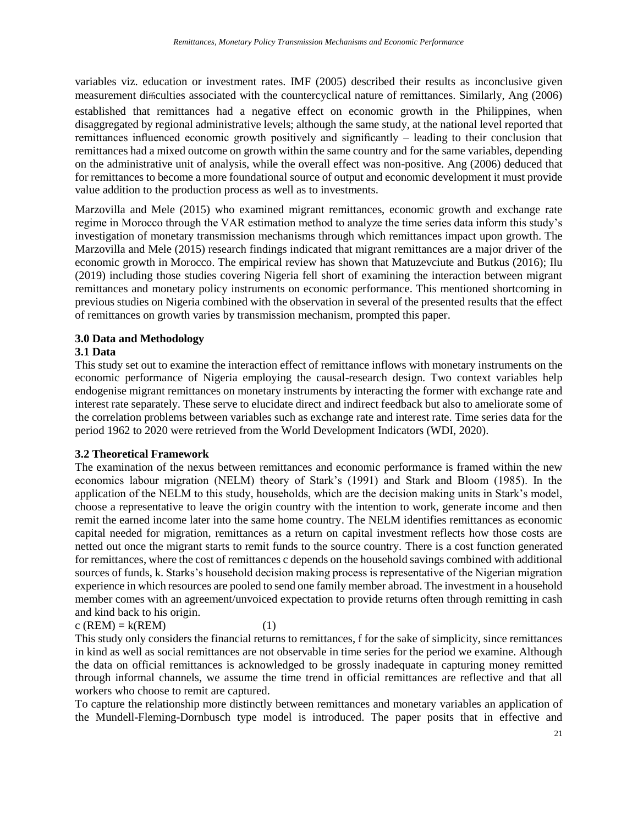variables viz. education or investment rates. IMF (2005) described their results as inconclusive given measurement difficulties associated with the countercyclical nature of remittances. Similarly, Ang (2006) established that remittances had a negative effect on economic growth in the Philippines, when disaggregated by regional administrative levels; although the same study, at the national level reported that remittances influenced economic growth positively and significantly – leading to their conclusion that remittances had a mixed outcome on growth within the same country and for the same variables, depending on the administrative unit of analysis, while the overall effect was non-positive. Ang (2006) deduced that for remittances to become a more foundational source of output and economic development it must provide value addition to the production process as well as to investments.

Marzovilla and Mele (2015) who examined migrant remittances, economic growth and exchange rate regime in Morocco through the VAR estimation method to analyze the time series data inform this study's investigation of monetary transmission mechanisms through which remittances impact upon growth. The Marzovilla and Mele (2015) research findings indicated that migrant remittances are a major driver of the economic growth in Morocco. The empirical review has shown that Matuzevciute and Butkus (2016); Ilu (2019) including those studies covering Nigeria fell short of examining the interaction between migrant remittances and monetary policy instruments on economic performance. This mentioned shortcoming in previous studies on Nigeria combined with the observation in several of the presented results that the effect of remittances on growth varies by transmission mechanism, prompted this paper.

## **3.0 Data and Methodology**

### **3.1 Data**

This study set out to examine the interaction effect of remittance inflows with monetary instruments on the economic performance of Nigeria employing the causal-research design. Two context variables help endogenise migrant remittances on monetary instruments by interacting the former with exchange rate and interest rate separately. These serve to elucidate direct and indirect feedback but also to ameliorate some of the correlation problems between variables such as exchange rate and interest rate. Time series data for the period 1962 to 2020 were retrieved from the World Development Indicators (WDI, 2020).

### **3.2 Theoretical Framework**

The examination of the nexus between remittances and economic performance is framed within the new economics labour migration (NELM) theory of Stark's (1991) and Stark and Bloom (1985). In the application of the NELM to this study, households, which are the decision making units in Stark's model, choose a representative to leave the origin country with the intention to work, generate income and then remit the earned income later into the same home country. The NELM identifies remittances as economic capital needed for migration, remittances as a return on capital investment reflects how those costs are netted out once the migrant starts to remit funds to the source country. There is a cost function generated for remittances, where the cost of remittances c depends on the household savings combined with additional sources of funds, k. Starks's household decision making process is representative of the Nigerian migration experience in which resources are pooled to send one family member abroad. The investment in a household member comes with an agreement/unvoiced expectation to provide returns often through remitting in cash and kind back to his origin.

### $c (REM) = k(REM)$  (1)

This study only considers the financial returns to remittances, f for the sake of simplicity, since remittances in kind as well as social remittances are not observable in time series for the period we examine. Although the data on official remittances is acknowledged to be grossly inadequate in capturing money remitted through informal channels, we assume the time trend in official remittances are reflective and that all workers who choose to remit are captured.

To capture the relationship more distinctly between remittances and monetary variables an application of the Mundell-Fleming-Dornbusch type model is introduced. The paper posits that in effective and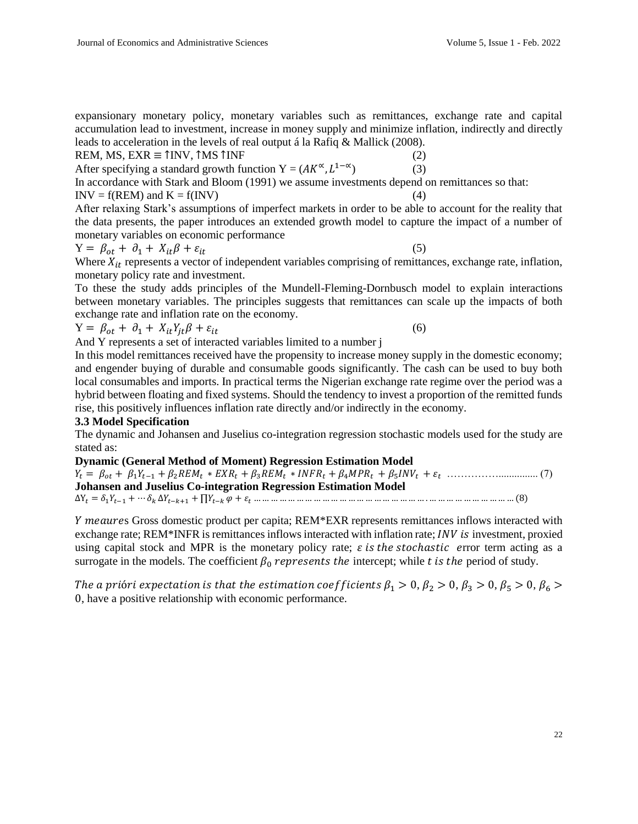expansionary monetary policy, monetary variables such as remittances, exchange rate and capital accumulation lead to investment, increase in money supply and minimize inflation, indirectly and directly leads to acceleration in the levels of real output á la Rafiq & Mallick (2008).

REM, MS,  $EXR \equiv \uparrow NV$ ,  $\uparrow MS \uparrow NF$  (2)

After specifying a standard growth function  $Y = (AK^{\alpha}, L^{1-\alpha})$  (3)

In accordance with Stark and Bloom (1991) we assume investments depend on remittances so that:

 $INV = f(REM)$  and  $K = f(INV)$  (4)

After relaxing Stark's assumptions of imperfect markets in order to be able to account for the reality that the data presents, the paper introduces an extended growth model to capture the impact of a number of monetary variables on economic performance

$$
Y = \beta_{ot} + \partial_1 + X_{it}\beta + \varepsilon_{it} \tag{5}
$$

Where  $X_{it}$  represents a vector of independent variables comprising of remittances, exchange rate, inflation, monetary policy rate and investment.

To these the study adds principles of the Mundell-Fleming-Dornbusch model to explain interactions between monetary variables. The principles suggests that remittances can scale up the impacts of both exchange rate and inflation rate on the economy.

$$
Y = \beta_{ot} + \partial_1 + X_{it} Y_{jt} \beta + \varepsilon_{it} \tag{6}
$$

And Y represents a set of interacted variables limited to a number j

In this model remittances received have the propensity to increase money supply in the domestic economy; and engender buying of durable and consumable goods significantly. The cash can be used to buy both local consumables and imports. In practical terms the Nigerian exchange rate regime over the period was a hybrid between floating and fixed systems. Should the tendency to invest a proportion of the remitted funds rise, this positively influences inflation rate directly and/or indirectly in the economy.

### **3.3 Model Specification**

The dynamic and Johansen and Juselius co-integration regression stochastic models used for the study are stated as:

**Dynamic (General Method of Moment) Regression Estimation Model** 

 = + 1−1 +2 ∗ +3 ∗ +4 + <sup>5</sup> + ……………............... (7) **Johansen and Juselius Co-integration Regression Estimation Model**  ∆Y = 1−1 + ⋯ ∆−+1 + ∏− + … … … … … … … … … … … … … … … … … … … … . … … … … … … … … … … (8)

Y meaures Gross domestic product per capita; REM\*EXR represents remittances inflows interacted with exchange rate; REM\*INFR is remittances inflows interacted with inflation rate; *INV is* investment, proxied using capital stock and MPR is the monetary policy rate;  $\varepsilon$  is the stochastic error term acting as a surrogate in the models. The coefficient  $\beta_0$  represents the intercept; while t is the period of study.

The a prióri expectation is that the estimation coefficients  $\beta_1 > 0$ ,  $\beta_2 > 0$ ,  $\beta_3 > 0$ ,  $\beta_5 > 0$ ,  $\beta_6 >$ 0, have a positive relationship with economic performance.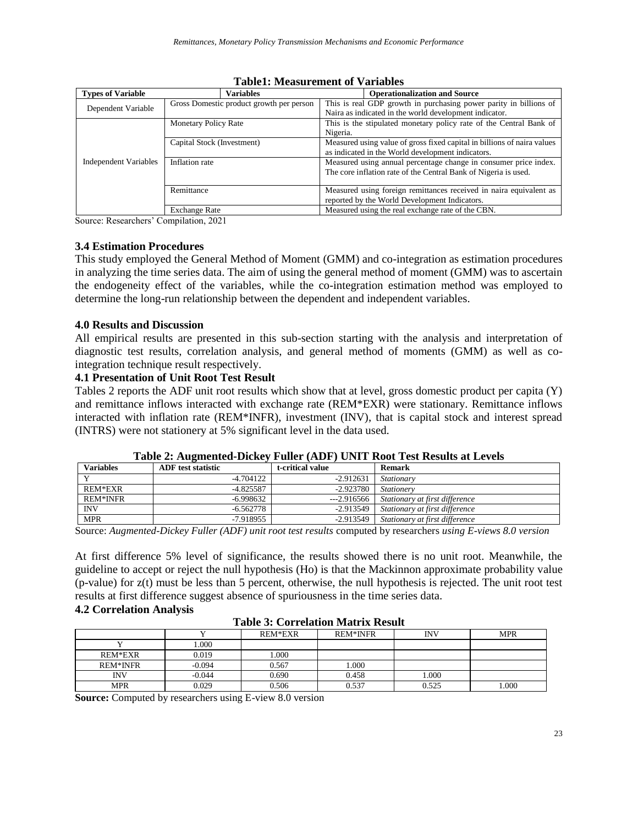| <b>Types of Variable</b>     | <b>Variables</b>                         | <b>Operationalization and Source</b>                                    |  |
|------------------------------|------------------------------------------|-------------------------------------------------------------------------|--|
|                              | Gross Domestic product growth per person | This is real GDP growth in purchasing power parity in billions of       |  |
| Dependent Variable           |                                          | Naira as indicated in the world development indicator.                  |  |
|                              | <b>Monetary Policy Rate</b>              | This is the stipulated monetary policy rate of the Central Bank of      |  |
|                              |                                          | Nigeria.                                                                |  |
|                              | Capital Stock (Investment)               | Measured using value of gross fixed capital in billions of naira values |  |
|                              |                                          | as indicated in the World development indicators.                       |  |
| <b>Independent Variables</b> | Inflation rate                           | Measured using annual percentage change in consumer price index.        |  |
|                              |                                          | The core inflation rate of the Central Bank of Nigeria is used.         |  |
|                              |                                          |                                                                         |  |
|                              | Remittance                               | Measured using foreign remittances received in naira equivalent as      |  |
|                              |                                          | reported by the World Development Indicators.                           |  |
|                              | <b>Exchange Rate</b>                     | Measured using the real exchange rate of the CBN.                       |  |

#### **Table1: Measurement of Variables**

Source: Researchers' Compilation, 2021

#### **3.4 Estimation Procedures**

This study employed the General Method of Moment (GMM) and co-integration as estimation procedures in analyzing the time series data. The aim of using the general method of moment (GMM) was to ascertain the endogeneity effect of the variables, while the co-integration estimation method was employed to determine the long-run relationship between the dependent and independent variables.

#### **4.0 Results and Discussion**

All empirical results are presented in this sub-section starting with the analysis and interpretation of diagnostic test results, correlation analysis, and general method of moments (GMM) as well as cointegration technique result respectively.

#### **4.1 Presentation of Unit Root Test Result**

Tables 2 reports the ADF unit root results which show that at level, gross domestic product per capita (Y) and remittance inflows interacted with exchange rate (REM\*EXR) were stationary. Remittance inflows interacted with inflation rate (REM\*INFR), investment (INV), that is capital stock and interest spread (INTRS) were not stationery at 5% significant level in the data used.

| <b>Variables</b> | -<br><b>ADF</b> test statistic | t-critical value | Remark                         |
|------------------|--------------------------------|------------------|--------------------------------|
|                  | $-4.704122$                    | $-2.912631$      | Stationary                     |
| REM*EXR          | $-4.825587$                    | $-2.923780$      | <i>Stationery</i>              |
| <b>REM*INFR</b>  | $-6.998632$                    | ---2.916566      | Stationary at first difference |
| <b>INV</b>       | -6.562778                      | $-2.913549$      | Stationary at first difference |
| <b>MPR</b>       | -7.918955                      | -2.913549        | Stationary at first difference |

#### **Table 2: Augmented-Dickey Fuller (ADF) UNIT Root Test Results at Levels**

Source: *Augmented-Dickey Fuller (ADF) unit root test results* computed by researchers *using E-views 8.0 version*

At first difference 5% level of significance, the results showed there is no unit root. Meanwhile, the guideline to accept or reject the null hypothesis (Ho) is that the Mackinnon approximate probability value (p-value) for z(t) must be less than 5 percent, otherwise, the null hypothesis is rejected. The unit root test results at first difference suggest absence of spuriousness in the time series data.

#### **4.2 Correlation Analysis**

| Table 9. Correlation matrix Result |          |         |                 |       |            |
|------------------------------------|----------|---------|-----------------|-------|------------|
|                                    |          | REM*EXR | <b>REM*INFR</b> | INV   | <b>MPR</b> |
|                                    | 000.     |         |                 |       |            |
| REM*EXR                            | 0.019    | .000    |                 |       |            |
| <b>REM*INFR</b>                    | $-0.094$ | 0.567   | 1.000           |       |            |
| INV                                | $-0.044$ | 0.690   | 0.458           | 1.000 |            |
| <b>MPR</b>                         | 0.029    | 0.506   | 0.537           | 0.525 | 000.       |

#### **Table 3: Correlation Matrix Result**

**Source:** Computed by researchers using E-view 8.0 version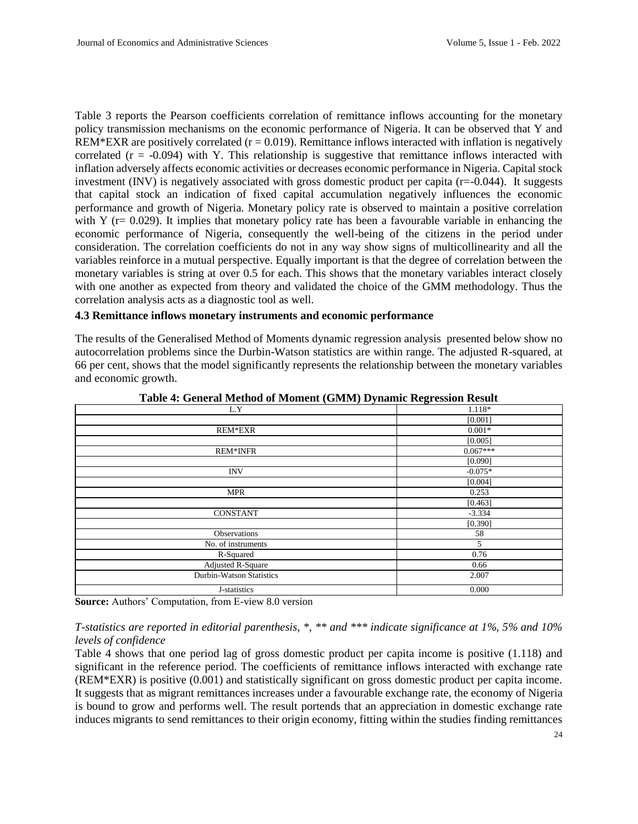Table 3 reports the Pearson coefficients correlation of remittance inflows accounting for the monetary policy transmission mechanisms on the economic performance of Nigeria. It can be observed that Y and REM\*EXR are positively correlated  $(r = 0.019)$ . Remittance inflows interacted with inflation is negatively correlated  $(r = -0.094)$  with Y. This relationship is suggestive that remittance inflows interacted with inflation adversely affects economic activities or decreases economic performance in Nigeria. Capital stock investment (INV) is negatively associated with gross domestic product per capita (r=-0.044). It suggests that capital stock an indication of fixed capital accumulation negatively influences the economic performance and growth of Nigeria. Monetary policy rate is observed to maintain a positive correlation with Y ( $r= 0.029$ ). It implies that monetary policy rate has been a favourable variable in enhancing the economic performance of Nigeria, consequently the well-being of the citizens in the period under consideration. The correlation coefficients do not in any way show signs of multicollinearity and all the variables reinforce in a mutual perspective. Equally important is that the degree of correlation between the monetary variables is string at over 0.5 for each. This shows that the monetary variables interact closely with one another as expected from theory and validated the choice of the GMM methodology. Thus the correlation analysis acts as a diagnostic tool as well.

#### **4.3 Remittance inflows monetary instruments and economic performance**

The results of the Generalised Method of Moments dynamic regression analysis presented below show no autocorrelation problems since the Durbin-Watson statistics are within range. The adjusted R-squared, at 66 per cent, shows that the model significantly represents the relationship between the monetary variables and economic growth.

| $\overline{\phantom{0}}$<br>$\overline{\phantom{a}}$ | $\overline{\phantom{a}}$<br>o |
|------------------------------------------------------|-------------------------------|
| L.Y                                                  | 1.118*                        |
|                                                      | [0.001]                       |
| REM*EXR                                              | $0.001*$                      |
|                                                      | [0.005]                       |
| <b>REM*INFR</b>                                      | $0.067***$                    |
|                                                      | [0.090]                       |
| <b>INV</b>                                           | $-0.075*$                     |
|                                                      | [0.004]                       |
| <b>MPR</b>                                           | 0.253                         |
|                                                      | [0.463]                       |
| <b>CONSTANT</b>                                      | $-3.334$                      |
|                                                      | [0.390]                       |
| Observations                                         | 58                            |
| No. of instruments                                   | 5                             |
| R-Squared                                            | 0.76                          |
| Adjusted R-Square                                    | 0.66                          |
| Durbin-Watson Statistics                             | 2.007                         |
| J-statistics                                         | 0.000                         |

**Table 4: General Method of Moment (GMM) Dynamic Regression Result**

**Source:** Authors' Computation, from E-view 8.0 version

*T-statistics are reported in editorial parenthesis, \*, \*\* and \*\*\* indicate significance at 1%, 5% and 10% levels of confidence* 

Table 4 shows that one period lag of gross domestic product per capita income is positive (1.118) and significant in the reference period. The coefficients of remittance inflows interacted with exchange rate (REM\*EXR) is positive (0.001) and statistically significant on gross domestic product per capita income. It suggests that as migrant remittances increases under a favourable exchange rate, the economy of Nigeria is bound to grow and performs well. The result portends that an appreciation in domestic exchange rate induces migrants to send remittances to their origin economy, fitting within the studies finding remittances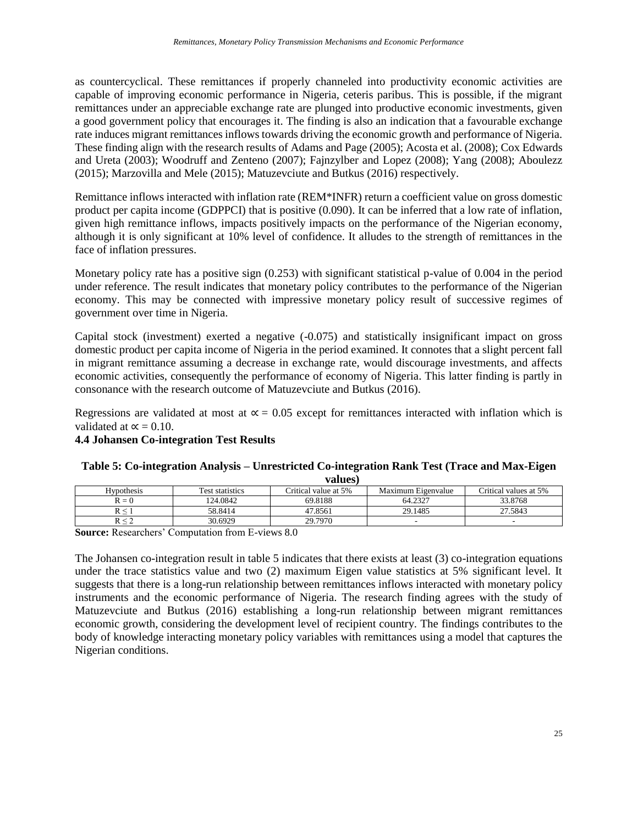as countercyclical. These remittances if properly channeled into productivity economic activities are capable of improving economic performance in Nigeria, ceteris paribus. This is possible, if the migrant remittances under an appreciable exchange rate are plunged into productive economic investments, given a good government policy that encourages it. The finding is also an indication that a favourable exchange rate induces migrant remittances inflows towards driving the economic growth and performance of Nigeria. These finding align with the research results of Adams and Page (2005); Acosta et al. (2008); Cox Edwards and Ureta (2003); Woodruff and Zenteno (2007); Fajnzylber and Lopez (2008); Yang (2008); Aboulezz (2015); Marzovilla and Mele (2015); Matuzevciute and Butkus (2016) respectively.

Remittance inflows interacted with inflation rate (REM\*INFR) return a coefficient value on gross domestic product per capita income (GDPPCI) that is positive (0.090). It can be inferred that a low rate of inflation, given high remittance inflows, impacts positively impacts on the performance of the Nigerian economy, although it is only significant at 10% level of confidence. It alludes to the strength of remittances in the face of inflation pressures.

Monetary policy rate has a positive sign (0.253) with significant statistical p-value of 0.004 in the period under reference. The result indicates that monetary policy contributes to the performance of the Nigerian economy. This may be connected with impressive monetary policy result of successive regimes of government over time in Nigeria.

Capital stock (investment) exerted a negative (-0.075) and statistically insignificant impact on gross domestic product per capita income of Nigeria in the period examined. It connotes that a slight percent fall in migrant remittance assuming a decrease in exchange rate, would discourage investments, and affects economic activities, consequently the performance of economy of Nigeria. This latter finding is partly in consonance with the research outcome of Matuzevciute and Butkus (2016).

Regressions are validated at most at  $\alpha$  = 0.05 except for remittances interacted with inflation which is validated at  $\alpha$  = 0.10.

### **4.4 Johansen Co-integration Test Results**

#### **Table 5: Co-integration Analysis – Unrestricted Co-integration Rank Test (Trace and Max-Eigen**

**values)**

| , anno ,          |                        |                      |                    |                       |
|-------------------|------------------------|----------------------|--------------------|-----------------------|
| <b>Hypothesis</b> | <b>Test statistics</b> | Critical value at 5% | Maximum Eigenvalue | Critical values at 5% |
| $R = 0$           | 124.0842               | 69.8188              | 64.2327            | 33.8768               |
|                   | 58.8414                | 47.8561              | 29.1485            | 27.5843               |
|                   | 30.6929                | 29.7970              |                    |                       |

**Source:** Researchers' Computation from E-views 8.0

The Johansen co-integration result in table 5 indicates that there exists at least (3) co-integration equations under the trace statistics value and two (2) maximum Eigen value statistics at 5% significant level. It suggests that there is a long-run relationship between remittances inflows interacted with monetary policy instruments and the economic performance of Nigeria. The research finding agrees with the study of Matuzevciute and Butkus (2016) establishing a long-run relationship between migrant remittances economic growth, considering the development level of recipient country. The findings contributes to the body of knowledge interacting monetary policy variables with remittances using a model that captures the Nigerian conditions.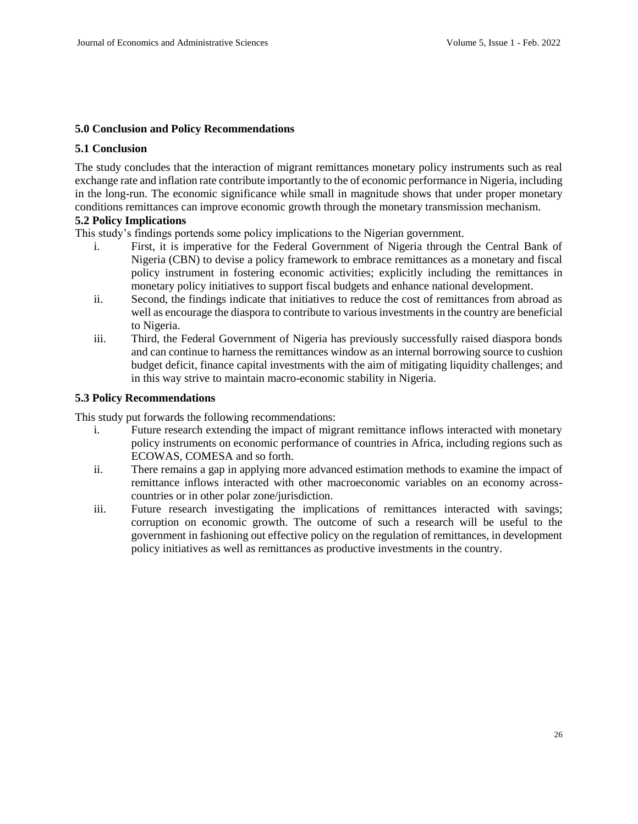#### **5.0 Conclusion and Policy Recommendations**

#### **5.1 Conclusion**

The study concludes that the interaction of migrant remittances monetary policy instruments such as real exchange rate and inflation rate contribute importantly to the of economic performance in Nigeria, including in the long-run. The economic significance while small in magnitude shows that under proper monetary conditions remittances can improve economic growth through the monetary transmission mechanism.

#### **5.2 Policy Implications**

This study's findings portends some policy implications to the Nigerian government.

- i. First, it is imperative for the Federal Government of Nigeria through the Central Bank of Nigeria (CBN) to devise a policy framework to embrace remittances as a monetary and fiscal policy instrument in fostering economic activities; explicitly including the remittances in monetary policy initiatives to support fiscal budgets and enhance national development.
- ii. Second, the findings indicate that initiatives to reduce the cost of remittances from abroad as well as encourage the diaspora to contribute to various investments in the country are beneficial to Nigeria.
- iii. Third, the Federal Government of Nigeria has previously successfully raised diaspora bonds and can continue to harness the remittances window as an internal borrowing source to cushion budget deficit, finance capital investments with the aim of mitigating liquidity challenges; and in this way strive to maintain macro-economic stability in Nigeria.

#### **5.3 Policy Recommendations**

This study put forwards the following recommendations:

- i. Future research extending the impact of migrant remittance inflows interacted with monetary policy instruments on economic performance of countries in Africa, including regions such as ECOWAS, COMESA and so forth.
- ii. There remains a gap in applying more advanced estimation methods to examine the impact of remittance inflows interacted with other macroeconomic variables on an economy acrosscountries or in other polar zone/jurisdiction.
- iii. Future research investigating the implications of remittances interacted with savings; corruption on economic growth. The outcome of such a research will be useful to the government in fashioning out effective policy on the regulation of remittances, in development policy initiatives as well as remittances as productive investments in the country.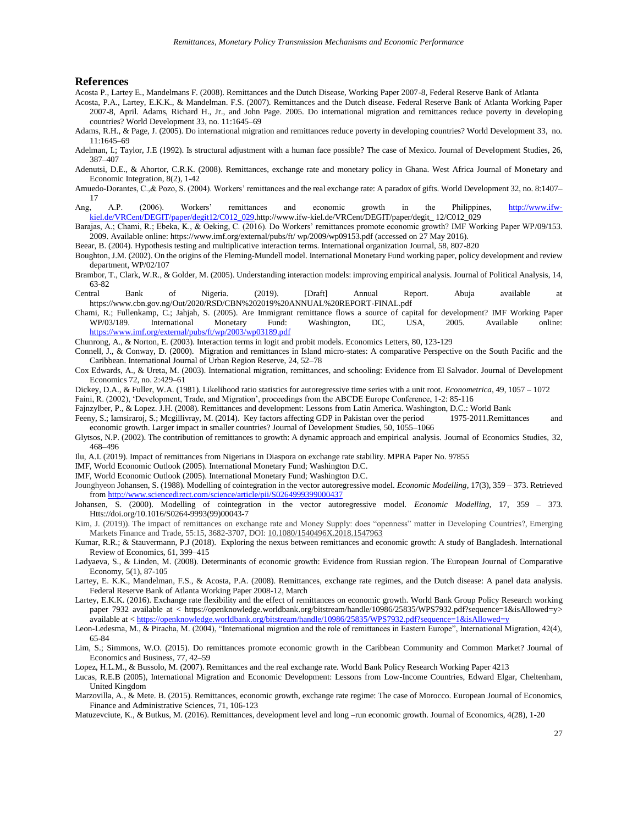#### **References**

Acosta P., Lartey E., Mandelmans F. (2008). Remittances and the Dutch Disease, Working Paper 2007-8, Federal Reserve Bank of Atlanta

Acosta, P.A., Lartey, E.K.K., & Mandelman. F.S. (2007). Remittances and the Dutch disease. Federal Reserve Bank of Atlanta Working Paper 2007-8, April. Adams, Richard H., Jr., and John Page. 2005. Do international migration and remittances reduce poverty in developing countries? World Development 33, no. 11:1645–69

Adams, R.H., & Page, J. (2005). Do international migration and remittances reduce poverty in developing countries? World Development 33, no. 11:1645–69

Adelman, I.; Taylor, J.E (1992). Is structural adjustment with a human face possible? The case of Mexico. Journal of Development Studies, 26, 387–407

Adenutsi, D.E., & Ahortor, C.R.K. (2008). Remittances, exchange rate and monetary policy in Ghana. West Africa Journal of Monetary and Economic Integration, 8(2), 1-42

Amuedo-Dorantes, C.,& Pozo, S. (2004). Workers' remittances and the real exchange rate: A paradox of gifts. World Development 32, no. 8:1407– 17

Ang, A.P. (2006). Workers' remittances and economic growth in the Philippines, [http://www.ifw](http://www.ifw-kiel.de/VRCent/DEGIT/paper/degit12/C012_029)[kiel.de/VRCent/DEGIT/paper/degit12/C012\\_029.](http://www.ifw-kiel.de/VRCent/DEGIT/paper/degit12/C012_029)http://www.ifw-kiel.de/VRCent/DEGIT/paper/degit\_ 12/C012\_029

Barajas, A.; Chami, R.; Ebeka, K., & Oeking, C. (2016). Do Workers' remittances promote economic growth? IMF Working Paper WP/09/153. 2009. Available online: https://www.imf.org/external/pubs/ft/ wp/2009/wp09153.pdf (accessed on 27 May 2016).

Beear, B. (2004). Hypothesis testing and multiplicative interaction terms. International organization Journal, 58, 807-820

Boughton, J.M. (2002). On the origins of the Fleming-Mundell model. International Monetary Fund working paper, policy development and review department, WP/02/107

Brambor, T., Clark, W.R., & Golder, M. (2005). Understanding interaction models: improving empirical analysis. Journal of Political Analysis, 14, 63-82

Central Bank of Nigeria. (2019). [Draft] Annual Report. Abuja available at https://www.cbn.gov.ng/Out/2020/RSD/CBN%202019%20ANNUAL%20REPORT-FINAL.pdf

Chami, R.; Fullenkamp, C.; Jahjah, S. (2005). Are Immigrant remittance flows a source of capital for development? IMF Working Paper WP/03/189. International Monetary Fund: Washington, DC, USA, 2005. Available online: <https://www.imf.org/external/pubs/ft/wp/2003/wp03189.pdf>

Chunrong, A., & Norton, E. (2003). Interaction terms in logit and probit models. Economics Letters, 80, 123-129

Connell, J., & Conway, D. (2000). Migration and remittances in Island micro-states: A comparative Perspective on the South Pacific and the Caribbean. International Journal of Urban Region Reserve, 24, 52–78

Cox Edwards, A., & Ureta, M. (2003). International migration, remittances, and schooling: Evidence from El Salvador. Journal of Development Economics 72, no. 2:429–61

Dickey, D.A., & Fuller, W.A. (1981). Likelihood ratio statistics for autoregressive time series with a unit root. *Econometrica*, 49, 1057 – 1072

Faini, R. (2002), 'Development, Trade, and Migration', proceedings from the ABCDE Europe Conference, 1-2: 85-116

Fajnzylber, P., & Lopez. J.H. (2008). Remittances and development: Lessons from Latin America. Washington, D.C.: World Bank

Feeny, S.; Iamsiraroj, S.; Mcgillivray, M. (2014). Key factors affecting GDP in Pakistan over the period 1975-2011.Remittances and economic growth. Larger impact in smaller countries? Journal of Development Studies, 50, 1055–1066

Glytsos, N.P. (2002). The contribution of remittances to growth: A dynamic approach and empirical analysis. Journal of Economics Studies, 32, 468–496

Ilu, A.I. (2019). Impact of remittances from Nigerians in Diaspora on exchange rate stability. MPRA Paper No. 97855

IMF, World Economic Outlook (2005). International Monetary Fund; Washington D.C.

IMF, World Economic Outlook (2005). International Monetary Fund; Washington D.C.

Jounghyeon Johansen, S. (1988). Modelling of cointegration in the vector autoregressive model. *Economic Modelling*, 17(3), 359 – 373. Retrieved from<http://www.sciencedirect.com/science/article/pii/S0264999399000437>

Johansen, S. (2000). Modelling of cointegration in the vector autoregressive model. *Economic Modelling*, 17, 359 – 373. Htts://doi.org/10.1016/S0264-9993(99)00043-7

Kim, J. (2019)). The impact of remittances on exchange rate and Money Supply: does "openness" matter in Developing Countries?, Emerging Markets Finance and Trade, 55:15, 3682-3707, DOI: [10.1080/1540496X.2018.1547963](https://doi.org/10.1080/1540496X.2018.1547963)

Kumar, R.R.; & Stauvermann, P.J (2018). Exploring the nexus between remittances and economic growth: A study of Bangladesh. International Review of Economics, 61, 399–415

Ladyaeva, S., & Linden, M. (2008). Determinants of economic growth: Evidence from Russian region. The European Journal of Comparative Economy, 5(1), 87-105

Lartey, E. K.K., Mandelman, F.S., & Acosta, P.A. (2008). Remittances, exchange rate regimes, and the Dutch disease: A panel data analysis. Federal Reserve Bank of Atlanta Working Paper 2008-12, March

Lartey, E.K.K. (2016). Exchange rate flexibility and the effect of remittances on economic growth. World Bank Group Policy Research working paper 7932 available at < https://openknowledge.worldbank.org/bitstream/handle/10986/25835/WPS7932.pdf?sequence=1&isAllowed=y> available at [< https://openknowledge.worldbank.org/bitstream/handle/10986/25835/WPS7932.pdf?sequence=1&isAllowed=y](https://openknowledge.worldbank.org/bitstream/handle/10986/25835/WPS7932.pdf?sequence=1&isAllowed=y)

Leon-Ledesma, M., & Piracha, M. (2004), "International migration and the role of remittances in Eastern Europe", International Migration, 42(4), 65-84

Lim, S.; Simmons, W.O. (2015). Do remittances promote economic growth in the Caribbean Community and Common Market? Journal of Economics and Business, 77, 42–59

Lopez, H.L.M., & Bussolo, M. (2007). Remittances and the real exchange rate. World Bank Policy Research Working Paper 4213

Lucas, R.E.B (2005), International Migration and Economic Development: Lessons from Low-Income Countries, Edward Elgar, Cheltenham, United Kingdom

Marzovilla, A., & Mete. B. (2015). Remittances, economic growth, exchange rate regime: The case of Morocco. European Journal of Economics, Finance and Administrative Sciences, 71, 106-123

Matuzevciute, K., & Butkus, M. (2016). Remittances, development level and long –run economic growth. Journal of Economics, 4(28), 1-20